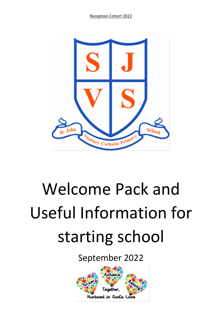Reception Cohort 2022



# Welcome Pack and Useful Information for starting school

September 2022

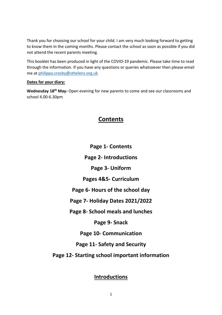Thank you for choosing our school for your child. I am very much looking forward to getting to know them in the coming months. Please contact the school as soon as possible if you did not attend the recent parents meeting.

This booklet has been produced in light of the COVID-19 pandemic. Please take time to read through the information. If you have any questions or queries whatsoever then please email me a[t philippa.crosby@sthelens.org.uk](mailto:philippa.crosby@sthelens.org.uk)

#### **Dates for your diary:**

**Wednesday 18th May-** Open evening for new parents to come and see our classrooms and school 4.00-6.30pm

# **Contents**

**Page 1- Contents**

**Page 2- Introductions**

**Page 3- Uniform**

**Pages 4&5- Curriculum**

**Page 6- Hours of the school day**

**Page 7- Holiday Dates 2021/2022**

**Page 8- School meals and lunches**

**Page 9- Snack**

**Page 10- Communication**

**Page 11- Safety and Security** 

**Page 12- Starting school important information**

**Introductions**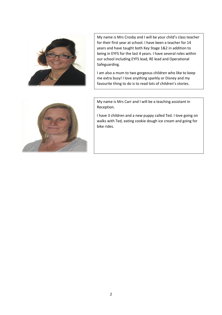

My name is Mrs Crosby and I will be your child's class teacher for their first year at school. I have been a teacher for 14 years and have taught both Key Stage 1&2 in addition to being in EYFS for the last 4 years. I have several roles within our school including EYFS lead, RE lead and Operational Safeguarding.

I am also a mum to two gorgeous children who like to keep me extra busy! I love anything sparkly or Disney and my favourite thing to do is to read lots of children's stories.



My name is Mrs Carr and I will be a teaching assistant in Reception.

I have 3 children and a new puppy called Ted. I love going on walks with Ted, eating cookie dough ice cream and going for bike rides.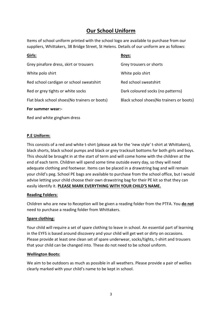# **Our School Uniform**

Items of school uniform printed with the school logo are available to purchase from our suppliers, Whittakers, 38 Bridge Street, St Helens. Details of our uniform are as follows:

| Girls:                                        | Boys:                                     |
|-----------------------------------------------|-------------------------------------------|
| Grey pinafore dress, skirt or trousers        | Grey trousers or shorts                   |
| White polo shirt                              | White polo shirt                          |
| Red school cardigan or school sweatshirt      | Red school sweatshirt                     |
| Red or grey tights or white socks             | Dark coloured socks (no patterns)         |
| Flat black school shoes(No trainers or boots) | Black school shoes (No trainers or boots) |
| For summer wear:-                             |                                           |

Red and white gingham dress

#### **P.E Uniform:**

This consists of a red and white t-shirt (please ask for the 'new style' t-shirt at Whittakers), black shorts, black school pumps and black or grey tracksuit bottoms for both girls and boys. This should be brought in at the start of term and will come home with the children at the end of each term. Children will spend some time outside every day, so they will need adequate clothing and footwear. Items can be placed in a drawstring bag and will remain your child's peg. School PE bags are available to purchase from the school office, but I would advise letting your child choose their own drawstring bag for their PE kit so that they can easily identify it. **PLEASE MARK EVERYTHING WITH YOUR CHILD'S NAME.**

#### **Reading Folders:**

Children who are new to Reception will be given a reading folder from the PTFA. You **do not** need to purchase a reading folder from Whittakers.

#### **Spare clothing:**

Your child will require a set of spare clothing to leave in school. An essential part of learning in the EYFS is based around discovery and your child will get wet or dirty on occasions. Please provide at least one clean set of spare underwear, socks/tights, t-shirt and trousers that your child can be changed into. These do not need to be school uniform.

#### **Wellington Boots:**

We aim to be outdoors as much as possible in all weathers. Please provide a pair of wellies clearly marked with your child's name to be kept in school.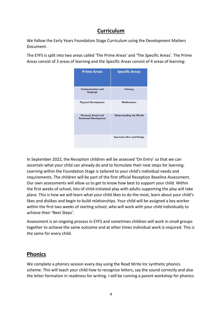## **Curriculum**

We follow the Early Years Foundation Stage Curriculum using the Development Matters Document.

The EYFS is split into two areas called 'The Prime Areas' and 'The Specific Areas'. The Prime Areas consist of 3 areas of learning and the Specific Areas consist of 4 areas of learning:

| <b>Prime Areas</b>                                   | <b>Specific Areas</b>             |
|------------------------------------------------------|-----------------------------------|
| Communication and<br>language                        | Literacy                          |
| <b>Physical Development</b>                          | <b>Mathematics</b>                |
| Personal, Social and<br><b>Emotional Development</b> | Understanding the World           |
|                                                      | <b>Expressive Arts and Design</b> |

In September 2022, the Reception children will be assessed 'On Entry' so that we can ascertain what your child can already do and to formulate their next steps for learning. Learning within the Foundation Stage is tailored to your child's individual needs and requirements. The children will be part of the first official Reception Baseline Assessment. Our own assessments will allow us to get to know how best to support your child. Within the first weeks of school, lots of child-initiated play with adults supporting the play will take place. This is how we will learn what your child likes to do the most, learn about your child's likes and dislikes and begin to build relationships. Your child will be assigned a key worker within the first two weeks of starting school, who will work with your child individually to achieve their 'Next Steps'.

Assessment is an ongoing process in EYFS and sometimes children will work in small groups together to achieve the same outcome and at other times individual work is required. This is the same for every child.

## **Phonics**

We complete a phonics session every day using the Read Write Inc synthetic phonics scheme. This will teach your child how to recognise letters, say the sound correctly and also the letter formation in readiness for writing. I will be running a parent workshop for phonics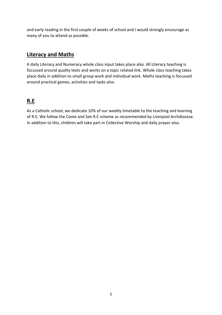and early reading in the first couple of weeks of school and I would strongly encourage as many of you to attend as possible.

# **Literacy and Maths**

A daily Literacy and Numeracy whole class input takes place also. All Literacy teaching is focussed around quality texts and works on a topic related link. Whole class teaching takes place daily in addition to small group work and individual work. Maths teaching is focussed around practical games, activities and tasks also.

# **R.E**

As a Catholic school, we dedicate 10% of our weekly timetable to the teaching and learning of R.E. We follow the Come and See R.E scheme as recommended by Liverpool Archdiocese. In addition to this, children will take part in Collective Worship and daily prayer also.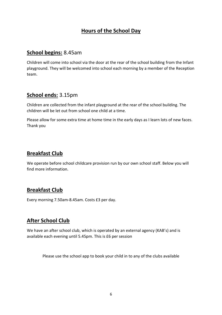# **Hours of the School Day**

#### **School begins:** 8.45am

Children will come into school via the door at the rear of the school building from the Infant playground. They will be welcomed into school each morning by a member of the Reception team.

## **School ends:** 3.15pm

Children are collected from the infant playground at the rear of the school building. The children will be let out from school one child at a time.

Please allow for some extra time at home time in the early days as I learn lots of new faces. Thank you

## **Breakfast Club**

We operate before school childcare provision run by our own school staff. Below you will find more information.

# **Breakfast Club**

Every morning 7.50am-8.45am. Costs £3 per day.

# **After School Club**

We have an after school club, which is operated by an external agency (KAB's) and is available each evening until 5.45pm. This is £6 per session

Please use the school app to book your child in to any of the clubs available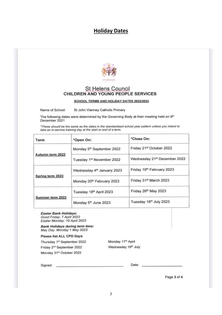#### **Holiday Dates**



#### **St Helens Council** CHILDREN AND YOUNG PEOPLE SERVICES

**SCHOOL TERMS AND HOLIDAY DATES 2022/2023** 

St John Vianney Catholic Primary Name of School:

The following dates were determined by the Governing Body at their meeting held on 9th December 2021

\*These should be the same as the dates in the standardised school year pattern unless you intend to take an in-service training day at the start or end of a term.

| Term             | *Open On:                             | *Close On:                               |  |
|------------------|---------------------------------------|------------------------------------------|--|
| Autumn term 2022 | Monday 5 <sup>th</sup> September 2022 | Friday 21st October 2022                 |  |
|                  | Tuesday 1 <sup>st</sup> November 2022 | Wednesday 21 <sup>st</sup> December 2022 |  |
| Spring term 2023 | Wednesday 4th January 2023            | Friday 10th February 2023                |  |
|                  | Monday 20 <sup>th</sup> February 2023 | Friday 31st March 2023                   |  |
| Summer term 2023 | Tuesday 18th April 2023               | Friday 26th May 2023                     |  |
|                  | Monday 5th June 2023                  | Tuesday 18th July 2023                   |  |

#### **Easter Bank Holidays:** Good Friday: 7 April 2023

Easter Monday: 10 April 2023

**Bank Holidays during term time:** May Day: Monday 1 May 2023

#### **Please list ALL CPD Days**

Thursday 1st September 2022 Friday 2<sup>nd</sup> September 2022 Monday 31st October 2022

Monday 17<sup>th</sup> April Wednesday 19<sup>th</sup> July

Signed:

Date:

Page 3 of 4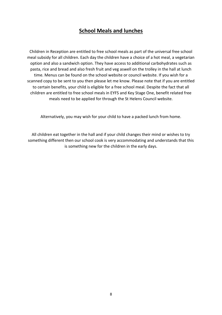## **School Meals and lunches**

Children in Reception are entitled to free school meals as part of the universal free school meal subsidy for all children. Each day the children have a choice of a hot meal, a vegetarian option and also a sandwich option. They have access to additional carbohydrates such as pasta, rice and bread and also fresh fruit and veg aswell on the trolley in the hall at lunch time. Menus can be found on the school website or council website. If you wish for a scanned copy to be sent to you then please let me know. Please note that if you are entitled to certain benefits, your child is eligible for a free school meal. Despite the fact that all children are entitled to free school meals in EYFS and Key Stage One, benefit related free meals need to be applied for through the St Helens Council website.

Alternatively, you may wish for your child to have a packed lunch from home.

All children eat together in the hall and if your child changes their mind or wishes to try something different then our school cook is very accommodating and understands that this is something new for the children in the early days.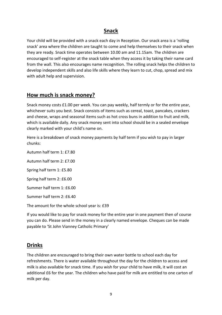## **Snack**

Your child will be provided with a snack each day in Reception. Our snack area is a 'rolling snack' area where the children are taught to come and help themselves to their snack when they are ready. Snack time operates between 10.00 am and 11.15am. The children are encouraged to self-register at the snack table when they access it by taking their name card from the wall. This also encourages name recognition. The rolling snack helps the children to develop independent skills and also life skills where they learn to cut, chop, spread and mix with adult help and supervision.

## **How much is snack money?**

Snack money costs £1.00 per week. You can pay weekly, half termly or for the entire year, whichever suits you best. Snack consists of items such as cereal, toast, pancakes, crackers and cheese, wraps and seasonal items such as hot cross buns in addition to fruit and milk, which is available daily. Any snack money sent into school should be in a sealed envelope clearly marked with your child's name on.

Here is a breakdown of snack money payments by half term if you wish to pay in larger chunks:

Autumn half term 1: £7.80

Autumn half term 2: £7.00 Spring half term 1: £5.80 Spring half term 2: £6.00

Summer half term 1: £6.00

Summer half term 2: £6.40

The amount for the whole school year is: £39

If you would like to pay for snack money for the entire year in one payment then of course you can do. Please send in the money in a clearly named envelope. Cheques can be made payable to 'St John Vianney Catholic Primary'

## **Drinks**

The children are encouraged to bring their own water bottle to school each day for refreshments. There is water available throughout the day for the children to access and milk is also available for snack time. If you wish for your child to have milk, it will cost an additional £6 for the year. The children who have paid for milk are entitled to one carton of milk per day.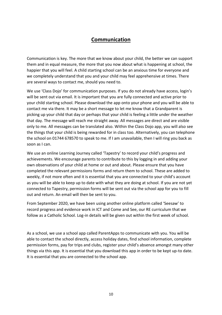## **Communication**

Communication is key. The more that we know about your child, the better we can support them and in equal measure, the more that you now about what is happening at school, the happier that you will feel. A child starting school can be an anxious time for everyone and we completely understand that you and your child may feel apprehensive at times. There are several ways to contact me, should you need to.

We use 'Class Dojo' for communication purposes. If you do not already have access, login's will be sent out via email. It is important that you are fully connected and active prior to your child starting school. Please download the app onto your phone and you will be able to contact me via there. It may be a short message to let me know that a Grandparent is picking up your child that day or perhaps that your child is feeling a little under the weather that day. The message will reach me straight away. All messages are direct and are visible only to me. All messages can be translated also. Within the Class Dojo app, you will also see the things that your child is being rewarded for in class too. Alternatively, you can telephone the school on 01744 678570 to speak to me. If I am unavailable, then I will ring you back as soon as I can.

We use an online Learning Journey called 'Tapestry' to record your child's progress and achievements. We encourage parents to contribute to this by logging in and adding your own observations of your child at home or out and about. Please ensure that you have completed the relevant permissions forms and return them to school. These are added to weekly, if not more often and it is essential that you are connected to your child's account as you will be able to keep up to date with what they are doing at school. If you are not yet connected to Tapestry, permission forms will be sent out via the school app for you to fill out and return. An email will then be sent to you.

From September 2020, we have been using another online platform called 'Seesaw' to record progress and evidence work in ICT and Come and See, our RE curriculum that we follow as a Catholic School. Log-in details will be given out within the first week of school.

As a school, we use a school app called ParentApps to communicate with you. You will be able to contact the school directly, access holiday dates, find school information, complete permission forms, pay for trips and clubs, register your child's absence amongst many other things via this app. It is essential that you download this app in order to be kept up-to date. It is essential that you are connected to the school app.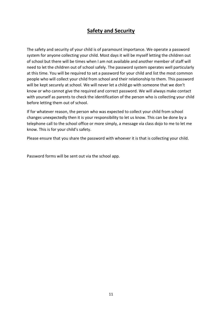# **Safety and Security**

The safety and security of your child is of paramount importance. We operate a password system for anyone collecting your child. Most days it will be myself letting the children out of school but there will be times when I am not available and another member of staff will need to let the children out of school safely. The password system operates well particularly at this time. You will be required to set a password for your child and list the most common people who will collect your child from school and their relationship to them. This password will be kept securely at school. We will never let a child go with someone that we don't know or who cannot give the required and correct password. We will always make contact with yourself as parents to check the identification of the person who is collecting your child before letting them out of school.

If for whatever reason, the person who was expected to collect your child from school changes unexpectedly then it is your responsibility to let us know. This can be done by a telephone call to the school office or more simply, a message via class dojo to me to let me know. This is for your child's safety.

Please ensure that you share the password with whoever it is that is collecting your child.

Password forms will be sent out via the school app.